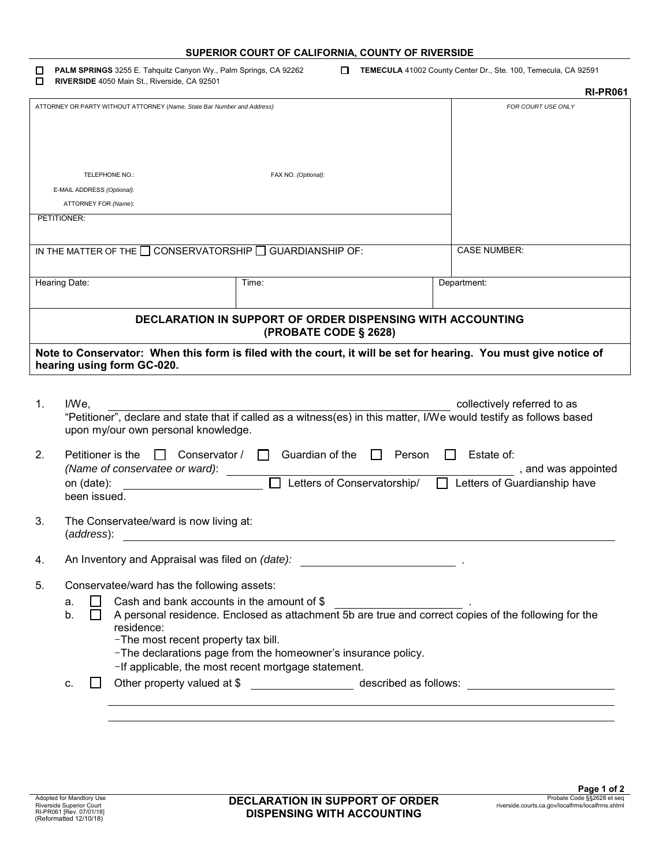| SUPERIOR COURT OF CALIFORNIA, COUNTY OF RIVERSIDE |  |
|---------------------------------------------------|--|
|---------------------------------------------------|--|

| ப<br>П                                                                                                                                             | <b>PALM SPRINGS</b> 3255 E. Tahquitz Canyon Wy., Palm Springs, CA 92262<br><b>TEMECULA</b> 41002 County Center Dr., Ste. 100, Temecula, CA 92591<br>п<br>RIVERSIDE 4050 Main St., Riverside, CA 92501                                                                                                                                                                                                                                                                                              |                                                                     |                                                                                            |                                                                                                                  |  |  |
|----------------------------------------------------------------------------------------------------------------------------------------------------|----------------------------------------------------------------------------------------------------------------------------------------------------------------------------------------------------------------------------------------------------------------------------------------------------------------------------------------------------------------------------------------------------------------------------------------------------------------------------------------------------|---------------------------------------------------------------------|--------------------------------------------------------------------------------------------|------------------------------------------------------------------------------------------------------------------|--|--|
|                                                                                                                                                    |                                                                                                                                                                                                                                                                                                                                                                                                                                                                                                    |                                                                     |                                                                                            | <b>RI-PR061</b>                                                                                                  |  |  |
|                                                                                                                                                    | ATTORNEY OR PARTY WITHOUT ATTORNEY (Name, State Bar Number and Address)                                                                                                                                                                                                                                                                                                                                                                                                                            |                                                                     |                                                                                            | FOR COURT USE ONLY                                                                                               |  |  |
|                                                                                                                                                    | TELEPHONE NO.:<br>E-MAIL ADDRESS (Optional):<br>ATTORNEY FOR (Name):                                                                                                                                                                                                                                                                                                                                                                                                                               | FAX NO. (Optional):                                                 |                                                                                            |                                                                                                                  |  |  |
|                                                                                                                                                    | PETITIONER:                                                                                                                                                                                                                                                                                                                                                                                                                                                                                        |                                                                     |                                                                                            |                                                                                                                  |  |  |
|                                                                                                                                                    |                                                                                                                                                                                                                                                                                                                                                                                                                                                                                                    | IN THE MATTER OF THE $\Box$ CONSERVATORSHIP $\Box$ GUARDIANSHIP OF: |                                                                                            | <b>CASE NUMBER:</b>                                                                                              |  |  |
| <b>Hearing Date:</b><br>Time:                                                                                                                      |                                                                                                                                                                                                                                                                                                                                                                                                                                                                                                    |                                                                     | Department:                                                                                |                                                                                                                  |  |  |
|                                                                                                                                                    |                                                                                                                                                                                                                                                                                                                                                                                                                                                                                                    |                                                                     | <b>DECLARATION IN SUPPORT OF ORDER DISPENSING WITH ACCOUNTING</b><br>(PROBATE CODE § 2628) |                                                                                                                  |  |  |
|                                                                                                                                                    | hearing using form GC-020.                                                                                                                                                                                                                                                                                                                                                                                                                                                                         |                                                                     |                                                                                            | Note to Conservator: When this form is filed with the court, it will be set for hearing. You must give notice of |  |  |
| 1.<br>2.                                                                                                                                           | I/We,<br>collectively referred to as<br>"Petitioner", declare and state that if called as a witness(es) in this matter, I/We would testify as follows based<br>upon my/our own personal knowledge.<br>Guardian of the<br>Estate of:<br>Petitioner is the<br>Conservator /<br>Person                                                                                                                                                                                                                |                                                                     |                                                                                            |                                                                                                                  |  |  |
| (Name of conservatee or ward):<br>, and was appointed<br>Letters of Conservatorship/<br>Letters of Guardianship have<br>on (date):<br>been issued. |                                                                                                                                                                                                                                                                                                                                                                                                                                                                                                    |                                                                     |                                                                                            |                                                                                                                  |  |  |
| 3.<br>The Conservatee/ward is now living at:<br>(address):                                                                                         |                                                                                                                                                                                                                                                                                                                                                                                                                                                                                                    |                                                                     |                                                                                            |                                                                                                                  |  |  |
| 4.                                                                                                                                                 | An Inventory and Appraisal was filed on (date): _________________________________                                                                                                                                                                                                                                                                                                                                                                                                                  |                                                                     |                                                                                            |                                                                                                                  |  |  |
| 5.                                                                                                                                                 | Conservatee/ward has the following assets:<br>Cash and bank accounts in the amount of \$<br>a.<br>A personal residence. Enclosed as attachment 5b are true and correct copies of the following for the<br>b.<br>residence:<br>-The most recent property tax bill.<br>-The declarations page from the homeowner's insurance policy.<br>-If applicable, the most recent mortgage statement.<br>Other property valued at \$ _______________________ described as follows: ___________________________ |                                                                     |                                                                                            |                                                                                                                  |  |  |
|                                                                                                                                                    | c.                                                                                                                                                                                                                                                                                                                                                                                                                                                                                                 |                                                                     |                                                                                            |                                                                                                                  |  |  |